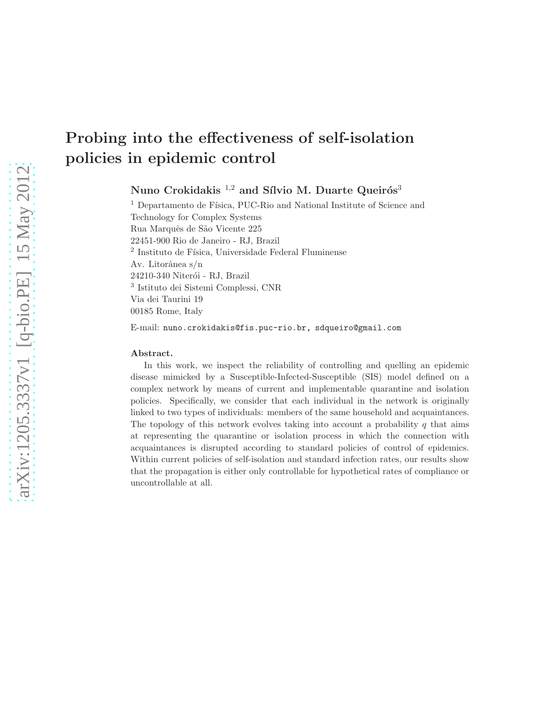# Probing into the effectiveness of self-isolation policies in epidemic control

Nuno Crokidakis<sup>1,2</sup> and Sílvio M. Duarte Queirós<sup>3</sup>

<sup>1</sup> Departamento de Física, PUC-Rio and National Institute of Science and Technology for Complex Systems Rua Marquês de São Vicente 225 22451-900 Rio de Janeiro - RJ, Brazil  $^2$ Instituto de Física, Universidade Federal Fluminense Av. Litorânea s/n 24210-340 Niterói - RJ, Brazil 3 Istituto dei Sistemi Complessi, CNR Via dei Taurini 19 00185 Rome, Italy E-mail: nuno.crokidakis@fis.puc-rio.br, sdqueiro@gmail.com

#### Abstract.

In this work, we inspect the reliability of controlling and quelling an epidemic disease mimicked by a Susceptible-Infected-Susceptible (SIS) model defined on a complex network by means of current and implementable quarantine and isolation policies. Specifically, we consider that each individual in the network is originally linked to two types of individuals: members of the same household and acquaintances. The topology of this network evolves taking into account a probability  $q$  that aims at representing the quarantine or isolation process in which the connection with acquaintances is disrupted according to standard policies of control of epidemics. Within current policies of self-isolation and standard infection rates, our results show that the propagation is either only controllable for hypothetical rates of compliance or uncontrollable at all.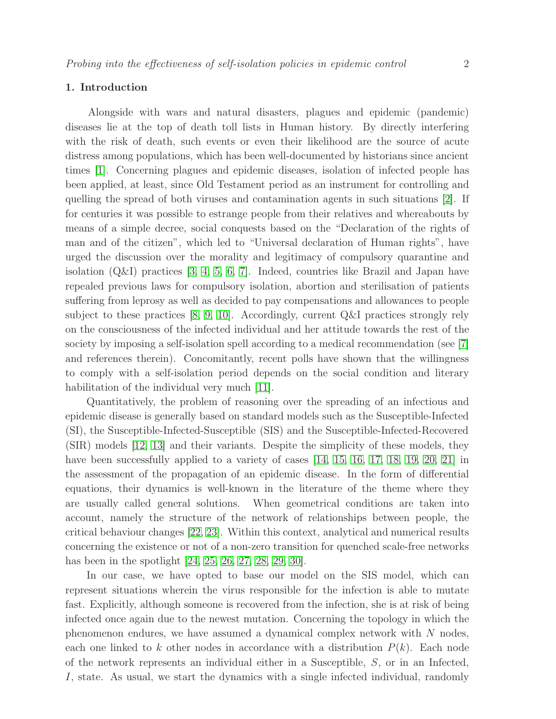# 1. Introduction

Alongside with wars and natural disasters, plagues and epidemic (pandemic) diseases lie at the top of death toll lists in Human history. By directly interfering with the risk of death, such events or even their likelihood are the source of acute distress among populations, which has been well-documented by historians since ancient times [\[1\]](#page-12-0). Concerning plagues and epidemic diseases, isolation of infected people has been applied, at least, since Old Testament period as an instrument for controlling and quelling the spread of both viruses and contamination agents in such situations [\[2\]](#page-12-1). If for centuries it was possible to estrange people from their relatives and whereabouts by means of a simple decree, social conquests based on the "Declaration of the rights of man and of the citizen", which led to "Universal declaration of Human rights", have urged the discussion over the morality and legitimacy of compulsory quarantine and isolation  $(Q&I)$  practices [\[3,](#page-12-2) [4,](#page-12-3) [5,](#page-12-4) [6,](#page-12-5) [7\]](#page-12-6). Indeed, countries like Brazil and Japan have repealed previous laws for compulsory isolation, abortion and sterilisation of patients suffering from leprosy as well as decided to pay compensations and allowances to people subject to these practices [\[8,](#page-12-7) [9,](#page-12-8) [10\]](#page-13-0). Accordingly, current Q&I practices strongly rely on the consciousness of the infected individual and her attitude towards the rest of the society by imposing a self-isolation spell according to a medical recommendation (see [\[7\]](#page-12-6) and references therein). Concomitantly, recent polls have shown that the willingness to comply with a self-isolation period depends on the social condition and literary habilitation of the individual very much [\[11\]](#page-13-1).

Quantitatively, the problem of reasoning over the spreading of an infectious and epidemic disease is generally based on standard models such as the Susceptible-Infected (SI), the Susceptible-Infected-Susceptible (SIS) and the Susceptible-Infected-Recovered (SIR) models [\[12,](#page-13-2) [13\]](#page-13-3) and their variants. Despite the simplicity of these models, they have been successfully applied to a variety of cases [\[14,](#page-13-4) [15,](#page-13-5) [16,](#page-13-6) [17,](#page-13-7) [18,](#page-13-8) [19,](#page-13-9) [20,](#page-13-10) [21\]](#page-13-11) in the assessment of the propagation of an epidemic disease. In the form of differential equations, their dynamics is well-known in the literature of the theme where they are usually called general solutions. When geometrical conditions are taken into account, namely the structure of the network of relationships between people, the critical behaviour changes [\[22,](#page-13-12) [23\]](#page-13-13). Within this context, analytical and numerical results concerning the existence or not of a non-zero transition for quenched scale-free networks has been in the spotlight [\[24,](#page-13-14) [25,](#page-13-15) [26,](#page-13-16) [27,](#page-13-17) [28,](#page-13-18) [29,](#page-13-19) [30\]](#page-13-20).

In our case, we have opted to base our model on the SIS model, which can represent situations wherein the virus responsible for the infection is able to mutate fast. Explicitly, although someone is recovered from the infection, she is at risk of being infected once again due to the newest mutation. Concerning the topology in which the phenomenon endures, we have assumed a dynamical complex network with N nodes, each one linked to k other nodes in accordance with a distribution  $P(k)$ . Each node of the network represents an individual either in a Susceptible, S, or in an Infected, I, state. As usual, we start the dynamics with a single infected individual, randomly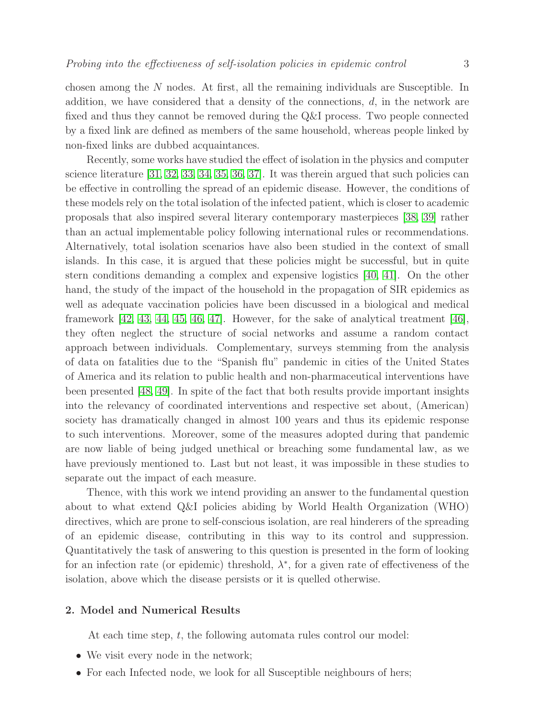chosen among the N nodes. At first, all the remaining individuals are Susceptible. In addition, we have considered that a density of the connections,  $d$ , in the network are fixed and thus they cannot be removed during the Q&I process. Two people connected by a fixed link are defined as members of the same household, whereas people linked by non-fixed links are dubbed acquaintances.

Recently, some works have studied the effect of isolation in the physics and computer science literature [\[31,](#page-13-21) [32,](#page-13-22) [33,](#page-13-23) [34,](#page-13-24) [35,](#page-13-25) [36,](#page-13-26) [37\]](#page-13-27). It was therein argued that such policies can be effective in controlling the spread of an epidemic disease. However, the conditions of these models rely on the total isolation of the infected patient, which is closer to academic proposals that also inspired several literary contemporary masterpieces [\[38,](#page-13-28) [39\]](#page-13-29) rather than an actual implementable policy following international rules or recommendations. Alternatively, total isolation scenarios have also been studied in the context of small islands. In this case, it is argued that these policies might be successful, but in quite stern conditions demanding a complex and expensive logistics [\[40,](#page-13-30) [41\]](#page-14-0). On the other hand, the study of the impact of the household in the propagation of SIR epidemics as well as adequate vaccination policies have been discussed in a biological and medical framework [\[42,](#page-14-1) [43,](#page-14-2) [44,](#page-14-3) [45,](#page-14-4) [46,](#page-14-5) [47\]](#page-14-6). However, for the sake of analytical treatment [\[46\]](#page-14-5), they often neglect the structure of social networks and assume a random contact approach between individuals. Complementary, surveys stemming from the analysis of data on fatalities due to the "Spanish flu" pandemic in cities of the United States of America and its relation to public health and non-pharmaceutical interventions have been presented [\[48,](#page-14-7) [49\]](#page-14-8). In spite of the fact that both results provide important insights into the relevancy of coordinated interventions and respective set about, (American) society has dramatically changed in almost 100 years and thus its epidemic response to such interventions. Moreover, some of the measures adopted during that pandemic are now liable of being judged unethical or breaching some fundamental law, as we have previously mentioned to. Last but not least, it was impossible in these studies to separate out the impact of each measure.

Thence, with this work we intend providing an answer to the fundamental question about to what extend Q&I policies abiding by World Health Organization (WHO) directives, which are prone to self-conscious isolation, are real hinderers of the spreading of an epidemic disease, contributing in this way to its control and suppression. Quantitatively the task of answering to this question is presented in the form of looking for an infection rate (or epidemic) threshold,  $\lambda^*$ , for a given rate of effectiveness of the isolation, above which the disease persists or it is quelled otherwise.

### 2. Model and Numerical Results

At each time step,  $t$ , the following automata rules control our model:

- We visit every node in the network;
- For each Infected node, we look for all Susceptible neighbours of hers;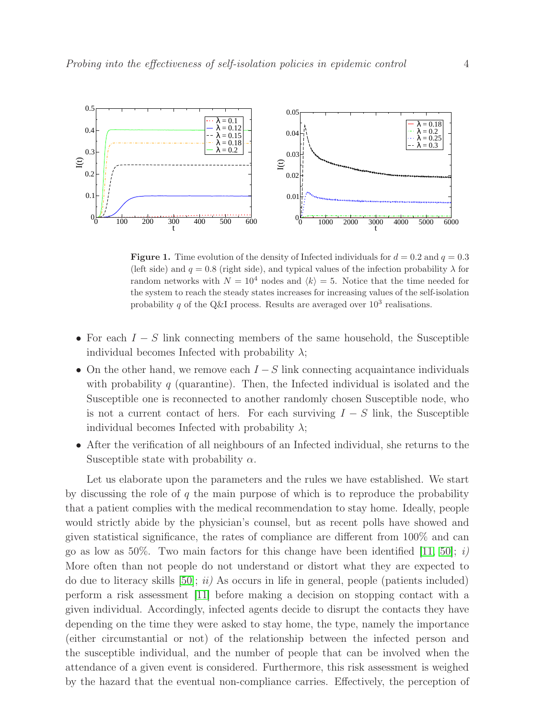

<span id="page-3-0"></span>**Figure 1.** Time evolution of the density of Infected individuals for  $d = 0.2$  and  $q = 0.3$ (left side) and  $q = 0.8$  (right side), and typical values of the infection probability  $\lambda$  for random networks with  $N = 10^4$  nodes and  $\langle k \rangle = 5$ . Notice that the time needed for the system to reach the steady states increases for increasing values of the self-isolation probability q of the Q&I process. Results are averaged over  $10^3$  realisations.

- For each  $I S$  link connecting members of the same household, the Susceptible individual becomes Infected with probability  $\lambda$ ;
- On the other hand, we remove each  $I-S$  link connecting acquaintance individuals with probability  $q$  (quarantine). Then, the Infected individual is isolated and the Susceptible one is reconnected to another randomly chosen Susceptible node, who is not a current contact of hers. For each surviving  $I - S$  link, the Susceptible individual becomes Infected with probability  $\lambda$ ;
- After the verification of all neighbours of an Infected individual, she returns to the Susceptible state with probability  $\alpha$ .

Let us elaborate upon the parameters and the rules we have established. We start by discussing the role of  $q$  the main purpose of which is to reproduce the probability that a patient complies with the medical recommendation to stay home. Ideally, people would strictly abide by the physician's counsel, but as recent polls have showed and given statistical significance, the rates of compliance are different from 100% and can go as low as 50%. Two main factors for this change have been identified [\[11,](#page-13-1) [50\]](#page-14-9); i) More often than not people do not understand or distort what they are expected to do due to literacy skills  $[50]$ ; ii) As occurs in life in general, people (patients included) perform a risk assessment [\[11\]](#page-13-1) before making a decision on stopping contact with a given individual. Accordingly, infected agents decide to disrupt the contacts they have depending on the time they were asked to stay home, the type, namely the importance (either circumstantial or not) of the relationship between the infected person and the susceptible individual, and the number of people that can be involved when the attendance of a given event is considered. Furthermore, this risk assessment is weighed by the hazard that the eventual non-compliance carries. Effectively, the perception of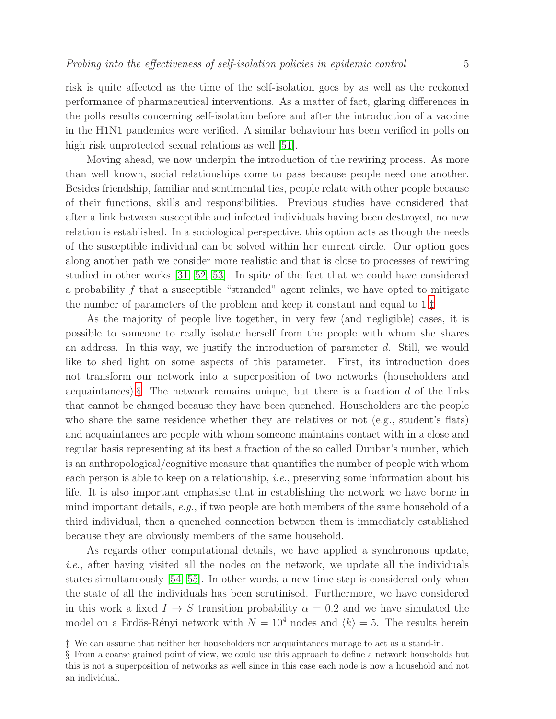risk is quite affected as the time of the self-isolation goes by as well as the reckoned performance of pharmaceutical interventions. As a matter of fact, glaring differences in the polls results concerning self-isolation before and after the introduction of a vaccine in the H1N1 pandemics were verified. A similar behaviour has been verified in polls on high risk unprotected sexual relations as well [\[51\]](#page-14-10).

Moving ahead, we now underpin the introduction of the rewiring process. As more than well known, social relationships come to pass because people need one another. Besides friendship, familiar and sentimental ties, people relate with other people because of their functions, skills and responsibilities. Previous studies have considered that after a link between susceptible and infected individuals having been destroyed, no new relation is established. In a sociological perspective, this option acts as though the needs of the susceptible individual can be solved within her current circle. Our option goes along another path we consider more realistic and that is close to processes of rewiring studied in other works [\[31,](#page-13-21) [52,](#page-14-11) [53\]](#page-14-12). In spite of the fact that we could have considered a probability f that a susceptible "stranded" agent relinks, we have opted to mitigate the number of parameters of the problem and keep it constant and equal to 1.[‡](#page-4-0)

As the majority of people live together, in very few (and negligible) cases, it is possible to someone to really isolate herself from the people with whom she shares an address. In this way, we justify the introduction of parameter d. Still, we would like to shed light on some aspects of this parameter. First, its introduction does not transform our network into a superposition of two networks (householders and acquaintances). $\S$  The network remains unique, but there is a fraction d of the links that cannot be changed because they have been quenched. Householders are the people who share the same residence whether they are relatives or not (e.g., student's flats) and acquaintances are people with whom someone maintains contact with in a close and regular basis representing at its best a fraction of the so called Dunbar's number, which is an anthropological/cognitive measure that quantifies the number of people with whom each person is able to keep on a relationship, i.e., preserving some information about his life. It is also important emphasise that in establishing the network we have borne in mind important details, e.g., if two people are both members of the same household of a third individual, then a quenched connection between them is immediately established because they are obviously members of the same household.

As regards other computational details, we have applied a synchronous update, i.e., after having visited all the nodes on the network, we update all the individuals states simultaneously [\[54,](#page-14-13) [55\]](#page-14-14). In other words, a new time step is considered only when the state of all the individuals has been scrutinised. Furthermore, we have considered in this work a fixed  $I \rightarrow S$  transition probability  $\alpha = 0.2$  and we have simulated the model on a Erdös-Rényi network with  $N = 10^4$  nodes and  $\langle k \rangle = 5$ . The results herein

<sup>‡</sup> We can assume that neither her householders nor acquaintances manage to act as a stand-in.

<span id="page-4-1"></span><span id="page-4-0"></span><sup>§</sup> From a coarse grained point of view, we could use this approach to define a network households but this is not a superposition of networks as well since in this case each node is now a household and not an individual.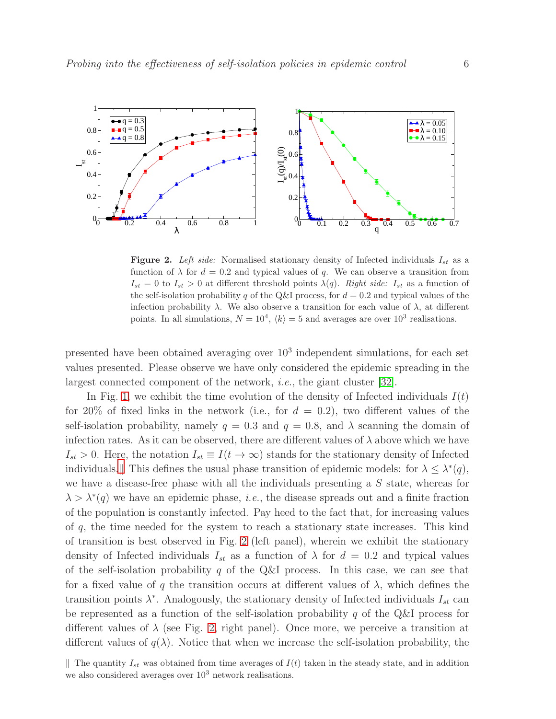

<span id="page-5-1"></span>Figure 2. *Left side:* Normalised stationary density of Infected individuals  $I_{st}$  as a function of  $\lambda$  for  $d = 0.2$  and typical values of q. We can observe a transition from  $I_{st} = 0$  to  $I_{st} > 0$  at different threshold points  $\lambda(q)$ . *Right side:*  $I_{st}$  as a function of the self-isolation probability q of the Q&I process, for  $d = 0.2$  and typical values of the infection probability  $\lambda$ . We also observe a transition for each value of  $\lambda$ , at different points. In all simulations,  $N = 10^4$ ,  $\langle k \rangle = 5$  and averages are over  $10^3$  realisations.

presented have been obtained averaging over 10<sup>3</sup> independent simulations, for each set values presented. Please observe we have only considered the epidemic spreading in the largest connected component of the network, i.e., the giant cluster [\[32\]](#page-13-22).

In Fig. [1,](#page-3-0) we exhibit the time evolution of the density of Infected individuals  $I(t)$ for 20% of fixed links in the network (i.e., for  $d = 0.2$ ), two different values of the self-isolation probability, namely  $q = 0.3$  and  $q = 0.8$ , and  $\lambda$  scanning the domain of infection rates. As it can be observed, there are different values of  $\lambda$  above which we have  $I_{st} > 0$ . Here, the notation  $I_{st} \equiv I(t \to \infty)$  stands for the stationary density of Infected individuals. This defines the usual phase transition of epidemic models: for  $\lambda \leq \lambda^*(q)$ , we have a disease-free phase with all the individuals presenting a S state, whereas for  $\lambda > \lambda^*(q)$  we have an epidemic phase, *i.e.*, the disease spreads out and a finite fraction of the population is constantly infected. Pay heed to the fact that, for increasing values of q, the time needed for the system to reach a stationary state increases. This kind of transition is best observed in Fig. [2](#page-5-1) (left panel), wherein we exhibit the stationary density of Infected individuals  $I_{st}$  as a function of  $\lambda$  for  $d = 0.2$  and typical values of the self-isolation probability q of the Q&I process. In this case, we can see that for a fixed value of q the transition occurs at different values of  $\lambda$ , which defines the transition points  $\lambda^*$ . Analogously, the stationary density of Infected individuals  $I_{st}$  can be represented as a function of the self-isolation probability  $q$  of the Q&I process for different values of  $\lambda$  (see Fig. [2,](#page-5-1) right panel). Once more, we perceive a transition at different values of  $q(\lambda)$ . Notice that when we increase the self-isolation probability, the

<span id="page-5-0"></span>The quantity  $I_{st}$  was obtained from time averages of  $I(t)$  taken in the steady state, and in addition we also considered averages over  $10^3$  network realisations.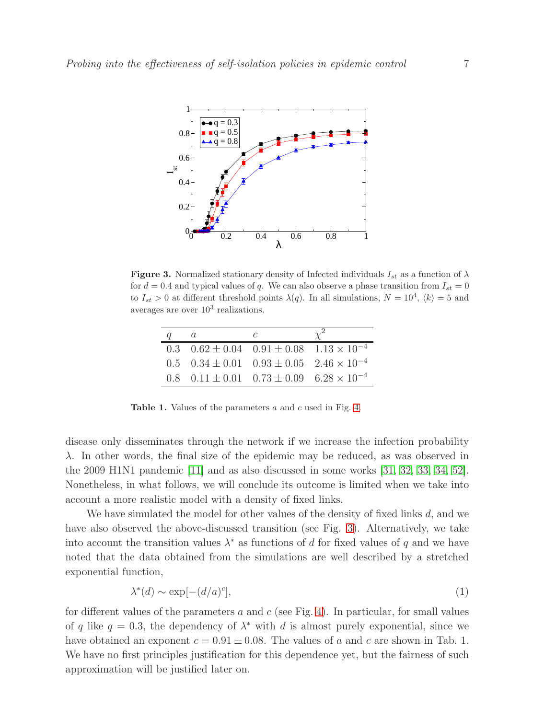

<span id="page-6-0"></span>**Figure 3.** Normalized stationary density of Infected individuals  $I_{st}$  as a function of  $\lambda$ for  $d = 0.4$  and typical values of q. We can also observe a phase transition from  $I_{st} = 0$ to  $I_{st} > 0$  at different threshold points  $\lambda(q)$ . In all simulations,  $N = 10^4$ ,  $\langle k \rangle = 5$  and averages are over  $10^3$  realizations.

| $\mu$ | $\mu$                                                                   | C |  |
|-------|-------------------------------------------------------------------------|---|--|
|       | 0.3 $0.62 \pm 0.04$ $0.91 \pm 0.08$ $1.13 \times 10^{-4}$               |   |  |
|       | $0.5 \quad 0.34 \pm 0.01 \quad 0.93 \pm 0.05 \quad 2.46 \times 10^{-4}$ |   |  |
|       | 0.8 $0.11 \pm 0.01$ $0.73 \pm 0.09$ $6.28 \times 10^{-4}$               |   |  |

Table 1. Values of the parameters a and c used in Fig. [4.](#page-7-0)

disease only disseminates through the network if we increase the infection probability  $\lambda$ . In other words, the final size of the epidemic may be reduced, as was observed in the 2009 H1N1 pandemic [\[11\]](#page-13-1) and as also discussed in some works [\[31,](#page-13-21) [32,](#page-13-22) [33,](#page-13-23) [34,](#page-13-24) [52\]](#page-14-11). Nonetheless, in what follows, we will conclude its outcome is limited when we take into account a more realistic model with a density of fixed links.

We have simulated the model for other values of the density of fixed links  $d$ , and we have also observed the above-discussed transition (see Fig. [3\)](#page-6-0). Alternatively, we take into account the transition values  $\lambda^*$  as functions of d for fixed values of q and we have noted that the data obtained from the simulations are well described by a stretched exponential function,

<span id="page-6-1"></span>
$$
\lambda^*(d) \sim \exp[-(d/a)^c],\tag{1}
$$

for different values of the parameters a and c (see Fig. [4\)](#page-7-0). In particular, for small values of q like  $q = 0.3$ , the dependency of  $\lambda^*$  with d is almost purely exponential, since we have obtained an exponent  $c = 0.91 \pm 0.08$ . The values of a and c are shown in Tab. 1. We have no first principles justification for this dependence yet, but the fairness of such approximation will be justified later on.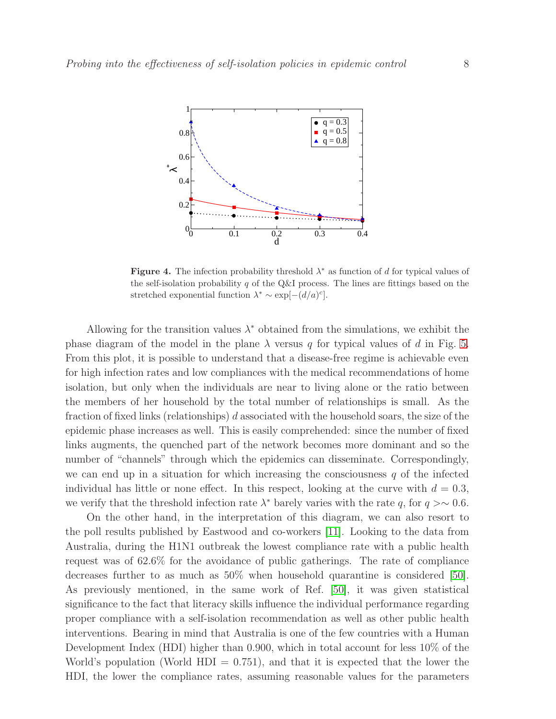

<span id="page-7-0"></span>**Figure 4.** The infection probability threshold  $\lambda^*$  as function of d for typical values of the self-isolation probability q of the Q&I process. The lines are fittings based on the stretched exponential function  $\lambda^* \sim \exp[-(d/a)^c]$ .

Allowing for the transition values  $\lambda^*$  obtained from the simulations, we exhibit the phase diagram of the model in the plane  $\lambda$  versus q for typical values of d in Fig. [5.](#page-8-0) From this plot, it is possible to understand that a disease-free regime is achievable even for high infection rates and low compliances with the medical recommendations of home isolation, but only when the individuals are near to living alone or the ratio between the members of her household by the total number of relationships is small. As the fraction of fixed links (relationships)  $d$  associated with the household soars, the size of the epidemic phase increases as well. This is easily comprehended: since the number of fixed links augments, the quenched part of the network becomes more dominant and so the number of "channels" through which the epidemics can disseminate. Correspondingly, we can end up in a situation for which increasing the consciousness  $q$  of the infected individual has little or none effect. In this respect, looking at the curve with  $d = 0.3$ , we verify that the threshold infection rate  $\lambda^*$  barely varies with the rate q, for  $q > \sim 0.6$ .

On the other hand, in the interpretation of this diagram, we can also resort to the poll results published by Eastwood and co-workers [\[11\]](#page-13-1). Looking to the data from Australia, during the H1N1 outbreak the lowest compliance rate with a public health request was of 62.6% for the avoidance of public gatherings. The rate of compliance decreases further to as much as 50% when household quarantine is considered [\[50\]](#page-14-9). As previously mentioned, in the same work of Ref. [\[50\]](#page-14-9), it was given statistical significance to the fact that literacy skills influence the individual performance regarding proper compliance with a self-isolation recommendation as well as other public health interventions. Bearing in mind that Australia is one of the few countries with a Human Development Index (HDI) higher than 0.900, which in total account for less 10% of the World's population (World  $HDI = 0.751$ ), and that it is expected that the lower the HDI, the lower the compliance rates, assuming reasonable values for the parameters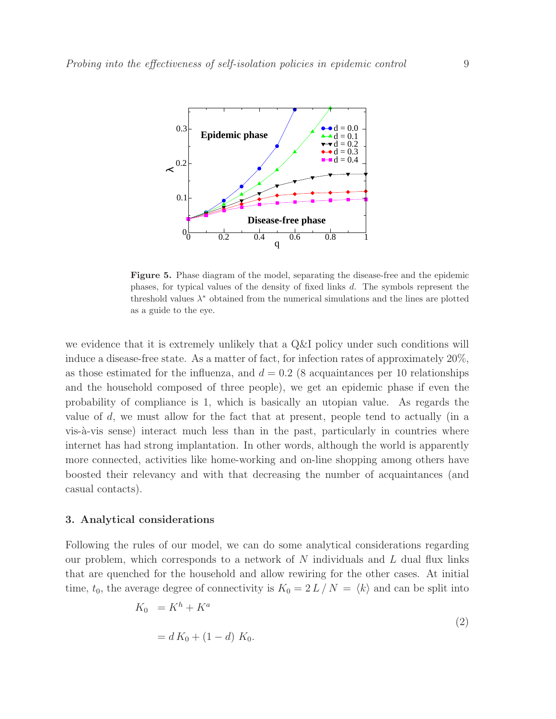

<span id="page-8-0"></span>Figure 5. Phase diagram of the model, separating the disease-free and the epidemic phases, for typical values of the density of fixed links d. The symbols represent the threshold values  $\lambda^*$  obtained from the numerical simulations and the lines are plotted as a guide to the eye.

we evidence that it is extremely unlikely that a Q&I policy under such conditions will induce a disease-free state. As a matter of fact, for infection rates of approximately 20%, as those estimated for the influenza, and  $d = 0.2$  (8 acquaintances per 10 relationships and the household composed of three people), we get an epidemic phase if even the probability of compliance is 1, which is basically an utopian value. As regards the value of d, we must allow for the fact that at present, people tend to actually (in a vis-à-vis sense) interact much less than in the past, particularly in countries where internet has had strong implantation. In other words, although the world is apparently more connected, activities like home-working and on-line shopping among others have boosted their relevancy and with that decreasing the number of acquaintances (and casual contacts).

## 3. Analytical considerations

Following the rules of our model, we can do some analytical considerations regarding our problem, which corresponds to a network of  $N$  individuals and  $L$  dual flux links that are quenched for the household and allow rewiring for the other cases. At initial time,  $t_0$ , the average degree of connectivity is  $K_0 = 2 L / N = \langle k \rangle$  and can be split into

$$
K_0 = K^h + K^a
$$
  
= d K<sub>0</sub> + (1 - d) K<sub>0</sub>. (2)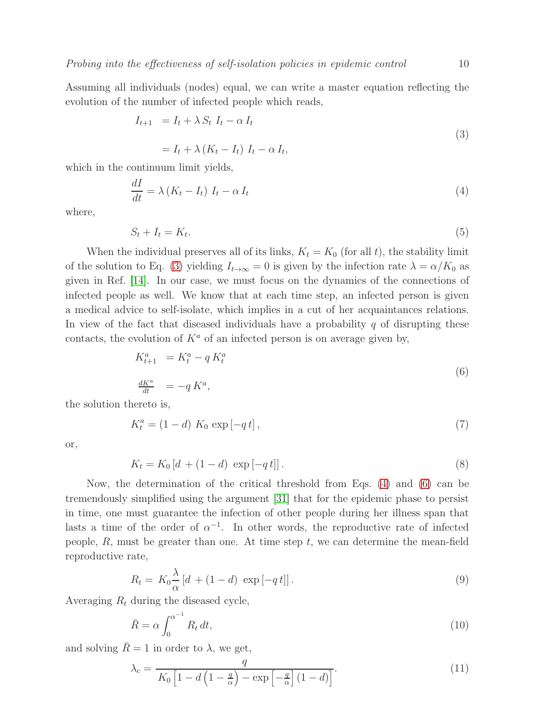Assuming all individuals (nodes) equal, we can write a master equation reflecting the evolution of the number of infected people which reads,

<span id="page-9-0"></span>
$$
I_{t+1} = I_t + \lambda S_t I_t - \alpha I_t
$$
  
=  $I_t + \lambda (K_t - I_t) I_t - \alpha I_t,$  (3)

which in the continuum limit yields,

<span id="page-9-1"></span>
$$
\frac{dI}{dt} = \lambda \left( K_t - I_t \right) I_t - \alpha I_t \tag{4}
$$

where,

$$
S_t + I_t = K_t. \tag{5}
$$

When the individual preserves all of its links,  $K_t = K_0$  (for all t), the stability limit of the solution to Eq. [\(3\)](#page-9-0) yielding  $I_{t\to\infty} = 0$  is given by the infection rate  $\lambda = \alpha/K_0$  as given in Ref. [\[14\]](#page-13-4). In our case, we must focus on the dynamics of the connections of infected people as well. We know that at each time step, an infected person is given a medical advice to self-isolate, which implies in a cut of her acquaintances relations. In view of the fact that diseased individuals have a probability  $q$  of disrupting these contacts, the evolution of  $K^a$  of an infected person is on average given by,

<span id="page-9-2"></span>
$$
K_{t+1}^a = K_t^a - q K_t^a
$$
  
\n
$$
\frac{dK^a}{dt} = -q K^a,
$$
\n(6)

the solution thereto is,

$$
K_t^a = (1 - d) K_0 \exp[-q t], \qquad (7)
$$

or,

<span id="page-9-4"></span>
$$
K_t = K_0 \left[ d + (1 - d) \, \exp\left[ -q \, t \right] \right]. \tag{8}
$$

Now, the determination of the critical threshold from Eqs. [\(4\)](#page-9-1) and [\(6\)](#page-9-2) can be tremendously simplified using the argument [\[31\]](#page-13-21) that for the epidemic phase to persist in time, one must guarantee the infection of other people during her illness span that lasts a time of the order of  $\alpha^{-1}$ . In other words, the reproductive rate of infected people,  $R$ , must be greater than one. At time step  $t$ , we can determine the mean-field reproductive rate,

$$
R_t = K_0 \frac{\lambda}{\alpha} \left[ d + (1 - d) \, \exp\left[ -q \, t \right] \right]. \tag{9}
$$

Averaging  $R_t$  during the diseased cycle,

$$
\bar{R} = \alpha \int_0^{\alpha^{-1}} R_t dt,
$$
\n(10)

and solving  $\bar{R} = 1$  in order to  $\lambda$ , we get,

<span id="page-9-3"></span>
$$
\lambda_c = \frac{q}{K_0 \left[1 - d\left(1 - \frac{q}{\alpha}\right) - \exp\left[-\frac{q}{\alpha}\right] \left(1 - d\right)\right]}.
$$
\n(11)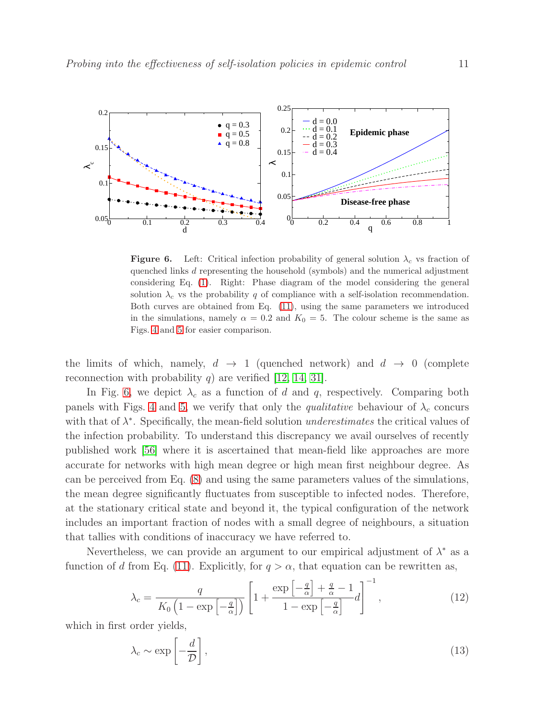

<span id="page-10-0"></span>**Figure 6.** Left: Critical infection probability of general solution  $\lambda_c$  vs fraction of quenched links d representing the household (symbols) and the numerical adjustment considering Eq. [\(1\)](#page-6-1). Right: Phase diagram of the model considering the general solution  $\lambda_c$  vs the probability q of compliance with a self-isolation recommendation. Both curves are obtained from Eq. [\(11\)](#page-9-3), using the same parameters we introduced in the simulations, namely  $\alpha = 0.2$  and  $K_0 = 5$ . The colour scheme is the same as Figs. [4](#page-7-0) and [5](#page-8-0) for easier comparison.

the limits of which, namely,  $d \rightarrow 1$  (quenched network) and  $d \rightarrow 0$  (complete reconnection with probability q) are verified [\[12,](#page-13-2) [14,](#page-13-4) [31\]](#page-13-21).

In Fig. [6,](#page-10-0) we depict  $\lambda_c$  as a function of d and q, respectively. Comparing both panels with Figs. [4](#page-7-0) and [5,](#page-8-0) we verify that only the *qualitative* behaviour of  $\lambda_c$  concurs with that of  $\lambda^*$ . Specifically, the mean-field solution *underestimates* the critical values of the infection probability. To understand this discrepancy we avail ourselves of recently published work [\[56\]](#page-14-15) where it is ascertained that mean-field like approaches are more accurate for networks with high mean degree or high mean first neighbour degree. As can be perceived from Eq. [\(8\)](#page-9-4) and using the same parameters values of the simulations, the mean degree significantly fluctuates from susceptible to infected nodes. Therefore, at the stationary critical state and beyond it, the typical configuration of the network includes an important fraction of nodes with a small degree of neighbours, a situation that tallies with conditions of inaccuracy we have referred to.

Nevertheless, we can provide an argument to our empirical adjustment of  $\lambda^*$  as a function of d from Eq. [\(11\)](#page-9-3). Explicitly, for  $q > \alpha$ , that equation can be rewritten as,

$$
\lambda_c = \frac{q}{K_0 \left(1 - \exp\left[-\frac{q}{\alpha}\right]\right)} \left[1 + \frac{\exp\left[-\frac{q}{\alpha}\right] + \frac{q}{\alpha} - 1}{1 - \exp\left[-\frac{q}{\alpha}\right]}d\right]^{-1},\tag{12}
$$

which in first order yields,

<span id="page-10-1"></span>
$$
\lambda_c \sim \exp\left[-\frac{d}{\mathcal{D}}\right],\tag{13}
$$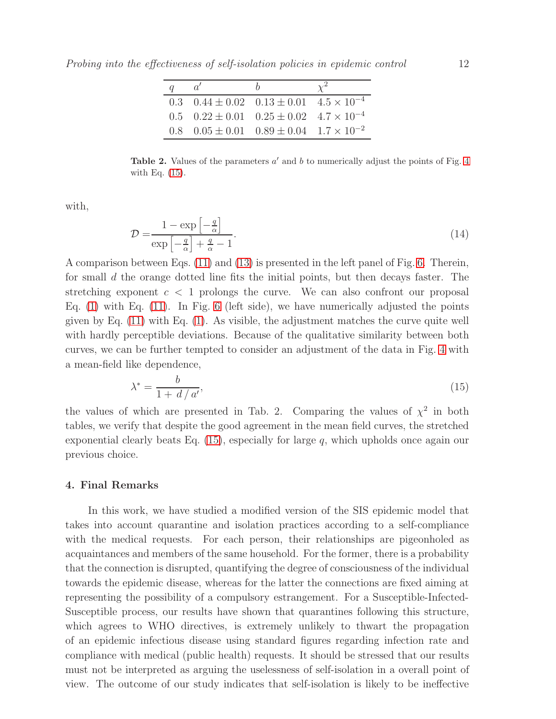Probing into the effectiveness of self-isolation policies in epidemic control 12

| $\alpha$ |                                                                        |  |
|----------|------------------------------------------------------------------------|--|
|          | 0.3 $0.44 \pm 0.02$ $0.13 \pm 0.01$ $4.5 \times 10^{-4}$               |  |
|          | $0.5 \quad 0.22 \pm 0.01 \quad 0.25 \pm 0.02 \quad 4.7 \times 10^{-4}$ |  |
|          | 0.8 $0.05 \pm 0.01$ $0.89 \pm 0.04$ $1.7 \times 10^{-2}$               |  |

Table 2. Values of the parameters  $a'$  and b to numerically adjust the points of Fig. [4](#page-7-0) with Eq. [\(15\)](#page-11-0).

with,

$$
\mathcal{D} = \frac{1 - \exp\left[-\frac{q}{\alpha}\right]}{\exp\left[-\frac{q}{\alpha}\right] + \frac{q}{\alpha} - 1}.
$$
\n(14)

A comparison between Eqs. [\(11\)](#page-9-3) and [\(13\)](#page-10-1) is presented in the left panel of Fig. [6.](#page-10-0) Therein, for small d the orange dotted line fits the initial points, but then decays faster. The stretching exponent  $c < 1$  prolongs the curve. We can also confront our proposal Eq.  $(1)$  with Eq.  $(11)$ . In Fig. [6](#page-10-0) (left side), we have numerically adjusted the points given by Eq. [\(11\)](#page-9-3) with Eq. [\(1\)](#page-6-1). As visible, the adjustment matches the curve quite well with hardly perceptible deviations. Because of the qualitative similarity between both curves, we can be further tempted to consider an adjustment of the data in Fig. [4](#page-7-0) with a mean-field like dependence,

<span id="page-11-0"></span>
$$
\lambda^* = \frac{b}{1 + d/a'},\tag{15}
$$

the values of which are presented in Tab. 2. Comparing the values of  $\chi^2$  in both tables, we verify that despite the good agreement in the mean field curves, the stretched exponential clearly beats Eq.  $(15)$ , especially for large q, which upholds once again our previous choice.

### 4. Final Remarks

In this work, we have studied a modified version of the SIS epidemic model that takes into account quarantine and isolation practices according to a self-compliance with the medical requests. For each person, their relationships are pigeonholed as acquaintances and members of the same household. For the former, there is a probability that the connection is disrupted, quantifying the degree of consciousness of the individual towards the epidemic disease, whereas for the latter the connections are fixed aiming at representing the possibility of a compulsory estrangement. For a Susceptible-Infected-Susceptible process, our results have shown that quarantines following this structure, which agrees to WHO directives, is extremely unlikely to thwart the propagation of an epidemic infectious disease using standard figures regarding infection rate and compliance with medical (public health) requests. It should be stressed that our results must not be interpreted as arguing the uselessness of self-isolation in a overall point of view. The outcome of our study indicates that self-isolation is likely to be ineffective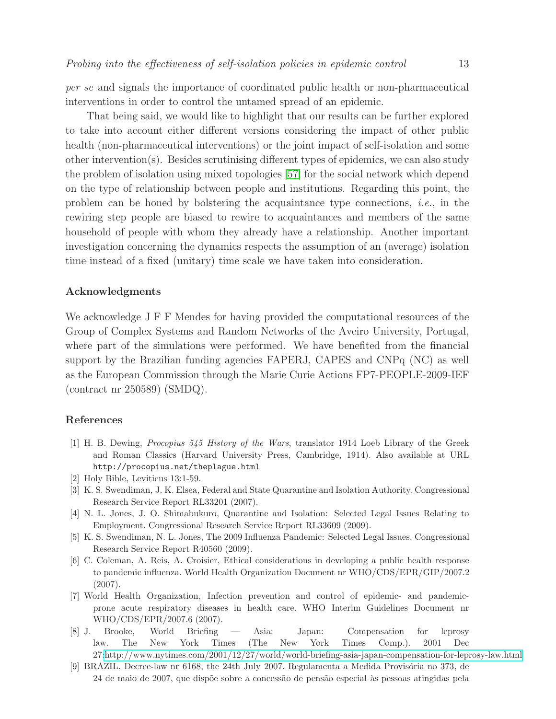per se and signals the importance of coordinated public health or non-pharmaceutical interventions in order to control the untamed spread of an epidemic.

That being said, we would like to highlight that our results can be further explored to take into account either different versions considering the impact of other public health (non-pharmaceutical interventions) or the joint impact of self-isolation and some other intervention(s). Besides scrutinising different types of epidemics, we can also study the problem of isolation using mixed topologies [\[57\]](#page-14-16) for the social network which depend on the type of relationship between people and institutions. Regarding this point, the problem can be honed by bolstering the acquaintance type connections, *i.e.*, in the rewiring step people are biased to rewire to acquaintances and members of the same household of people with whom they already have a relationship. Another important investigation concerning the dynamics respects the assumption of an (average) isolation time instead of a fixed (unitary) time scale we have taken into consideration.

# Acknowledgments

We acknowledge J F F Mendes for having provided the computational resources of the Group of Complex Systems and Random Networks of the Aveiro University, Portugal, where part of the simulations were performed. We have benefited from the financial support by the Brazilian funding agencies FAPERJ, CAPES and CNPq (NC) as well as the European Commission through the Marie Curie Actions FP7-PEOPLE-2009-IEF (contract nr 250589) (SMDQ).

### <span id="page-12-0"></span>References

- [1] H. B. Dewing, *Procopius 545 History of the Wars*, translator 1914 Loeb Library of the Greek and Roman Classics (Harvard University Press, Cambridge, 1914). Also available at URL http://procopius.net/theplague.html
- <span id="page-12-2"></span><span id="page-12-1"></span>[2] Holy Bible, Leviticus 13:1-59.
- [3] K. S. Swendiman, J. K. Elsea, Federal and State Quarantine and Isolation Authority. Congressional Research Service Report RL33201 (2007).
- <span id="page-12-3"></span>[4] N. L. Jones, J. O. Shimabukuro, Quarantine and Isolation: Selected Legal Issues Relating to Employment. Congressional Research Service Report RL33609 (2009).
- <span id="page-12-4"></span>[5] K. S. Swendiman, N. L. Jones, The 2009 Influenza Pandemic: Selected Legal Issues. Congressional Research Service Report R40560 (2009).
- <span id="page-12-5"></span>[6] C. Coleman, A. Reis, A. Croisier, Ethical considerations in developing a public health response to pandemic influenza. World Health Organization Document nr WHO/CDS/EPR/GIP/2007.2 (2007).
- <span id="page-12-6"></span>[7] World Health Organization, Infection prevention and control of epidemic- and pandemicprone acute respiratory diseases in health care. WHO Interim Guidelines Document nr WHO/CDS/EPR/2007.6 (2007).
- <span id="page-12-7"></span>[8] J. Brooke, World Briefing — Asia: Japan: Compensation for leprosy law. The New York Times (The New York Times Comp.). 2001 Dec 27[:http://www.nytimes.com/2001/12/27/world/world-briefing-asia-japan-compensation-for-leprosy-law.html](http://www.nytimes.com/2001/12/27/world/world-briefing-asia-japan-compensation-for-leprosy-law.html)
- <span id="page-12-8"></span>[9] BRAZIL. Decree-law nr 6168, the 24th July 2007. Regulamenta a Medida Provisória no 373, de 24 de maio de 2007, que dispõe sobre a concessão de pensão especial às pessoas atingidas pela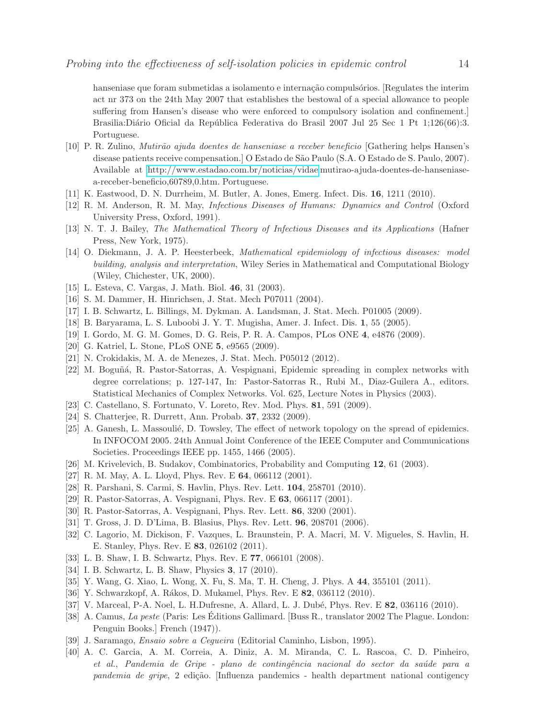hanseniase que foram submetidas a isolamento e internação compulsórios. [Regulates the interim act nr 373 on the 24th May 2007 that establishes the bestowal of a special allowance to people suffering from Hansen's disease who were enforced to compulsory isolation and confinement.] Brasilia:Diário Oficial da República Federativa do Brasil 2007 Jul 25 Sec 1 Pt 1;126(66):3. Portuguese.

- <span id="page-13-0"></span>[10] P. R. Zulino, *Mutir˜ao ajuda doentes de hanseniase a receber beneficio* [Gathering helps Hansen's disease patients receive compensation.] O Estado de S˜ao Paulo (S.A. O Estado de S. Paulo, 2007). Available at [http://www.estadao.com.br/noticias/vidae,](http://www.estadao.com.br/noticias/vidae)mutirao-ajuda-doentes-de-hanseniasea-receber-beneficio,60789,0.htm. Portuguese.
- <span id="page-13-2"></span><span id="page-13-1"></span>[11] K. Eastwood, D. N. Durrheim, M. Butler, A. Jones, Emerg. Infect. Dis. 16, 1211 (2010).
- <span id="page-13-3"></span>[12] R. M. Anderson, R. M. May, *Infectious Diseases of Humans: Dynamics and Control* (Oxford University Press, Oxford, 1991).
- <span id="page-13-4"></span>[13] N. T. J. Bailey, *The Mathematical Theory of Infectious Diseases and its Applications* (Hafner Press, New York, 1975).
- [14] O. Diekmann, J. A. P. Heesterbeek, *Mathematical epidemiology of infectious diseases: model building, analysis and interpretation*, Wiley Series in Mathematical and Computational Biology (Wiley, Chichester, UK, 2000).
- <span id="page-13-6"></span><span id="page-13-5"></span>[15] L. Esteva, C. Vargas, J. Math. Biol. 46, 31 (2003).
- <span id="page-13-7"></span>[16] S. M. Dammer, H. Hinrichsen, J. Stat. Mech P07011 (2004).
- <span id="page-13-8"></span>[17] I. B. Schwartz, L. Billings, M. Dykman. A. Landsman, J. Stat. Mech. P01005 (2009).
- <span id="page-13-9"></span>[18] B. Baryarama, L. S. Luboobi J. Y. T. Mugisha, Amer. J. Infect. Dis. 1, 55 (2005).
- <span id="page-13-10"></span>[19] I. Gordo, M. G. M. Gomes, D. G. Reis, P. R. A. Campos, PLos ONE 4, e4876 (2009).
- <span id="page-13-11"></span>[20] G. Katriel, L. Stone, PLoS ONE 5, e9565 (2009).
- <span id="page-13-12"></span>[21] N. Crokidakis, M. A. de Menezes, J. Stat. Mech. P05012 (2012).
- [22] M. Boguñá, R. Pastor-Satorras, A. Vespignani, Epidemic spreading in complex networks with degree correlations; p. 127-147, In: Pastor-Satorras R., Rubi M., Diaz-Guilera A., editors. Statistical Mechanics of Complex Networks. Vol. 625, Lecture Notes in Physics (2003).
- <span id="page-13-14"></span><span id="page-13-13"></span>[23] C. Castellano, S. Fortunato, V. Loreto, Rev. Mod. Phys. 81, 591 (2009).
- <span id="page-13-15"></span>[24] S. Chatterjee, R. Durrett, Ann. Probab. 37, 2332 (2009).
- [25] A. Ganesh, L. Massoulié, D. Towsley, The effect of network topology on the spread of epidemics. In INFOCOM 2005. 24th Annual Joint Conference of the IEEE Computer and Communications Societies. Proceedings IEEE pp. 1455, 1466 (2005).
- <span id="page-13-17"></span><span id="page-13-16"></span>[26] M. Krivelevich, B. Sudakov, Combinatorics, Probability and Computing 12, 61 (2003).
- <span id="page-13-18"></span>[27] R. M. May, A. L. Lloyd, Phys. Rev. E 64, 066112 (2001).
- <span id="page-13-19"></span>[28] R. Parshani, S. Carmi, S. Havlin, Phys. Rev. Lett. 104, 258701 (2010).
- <span id="page-13-20"></span>[29] R. Pastor-Satorras, A. Vespignani, Phys. Rev. E 63, 066117 (2001).
- <span id="page-13-21"></span>[30] R. Pastor-Satorras, A. Vespignani, Phys. Rev. Lett. 86, 3200 (2001).
- <span id="page-13-22"></span>[31] T. Gross, J. D. D'Lima, B. Blasius, Phys. Rev. Lett. 96, 208701 (2006).
- [32] C. Lagorio, M. Dickison, F. Vazques, L. Braunstein, P. A. Macri, M. V. Migueles, S. Havlin, H. E. Stanley, Phys. Rev. E 83, 026102 (2011).
- <span id="page-13-24"></span><span id="page-13-23"></span>[33] L. B. Shaw, I. B. Schwartz, Phys. Rev. E 77, 066101 (2008).
- <span id="page-13-25"></span>[34] I. B. Schwartz, L. B. Shaw, Physics 3, 17 (2010).
- <span id="page-13-26"></span>[35] Y. Wang, G. Xiao, L. Wong, X. Fu, S. Ma, T. H. Cheng, J. Phys. A 44, 355101 (2011).
- <span id="page-13-27"></span>[36] Y. Schwarzkopf, A. Rákos, D. Mukamel, Phys. Rev. E 82, 036112 (2010).
- <span id="page-13-28"></span>[37] V. Marceal, P-A. Noel, L. H.Dufresne, A. Allard, L. J. Dubé, Phys. Rev. E 82, 036116 (2010).
- [38] A. Camus, *La peste* (Paris: Les Editions Gallimard. [Buss R., translator 2002 The Plague. London: ´ Penguin Books.] French (1947)).
- <span id="page-13-30"></span><span id="page-13-29"></span>[39] J. Saramago, *Ensaio sobre a Cegueira* (Editorial Caminho, Lisbon, 1995).
- [40] A. C. Garcia, A. M. Correia, A. Diniz, A. M. Miranda, C. L. Rascoa, C. D. Pinheiro, *et al.*, *Pandemia de Gripe - plano de contingˆencia nacional do sector da sa´ude para a pandemia de gripe*, 2 edição. [Influenza pandemics - health department national contigency